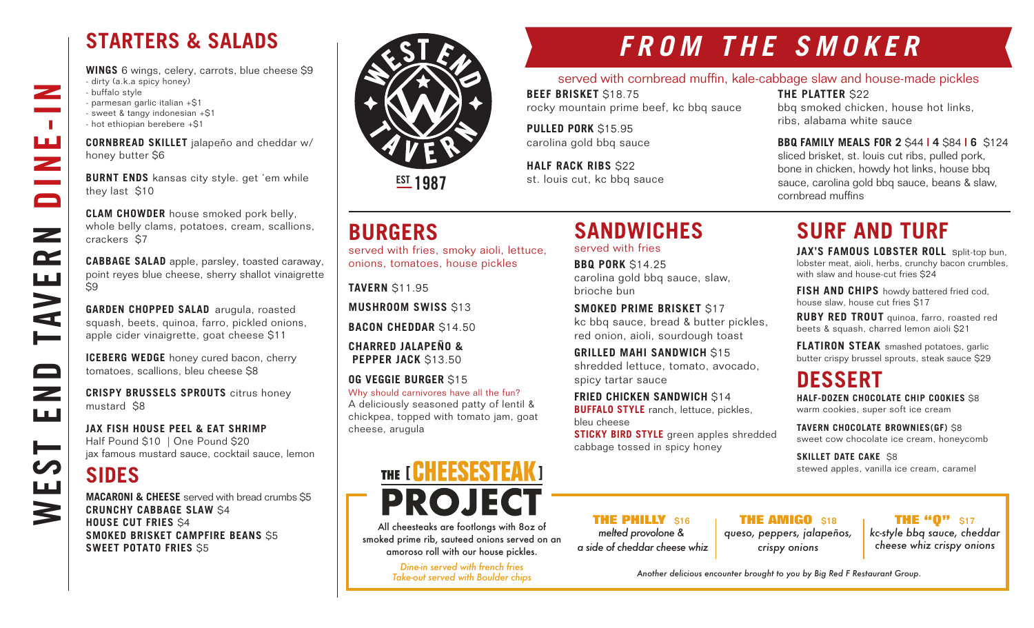## **STARTERS & SALADS**

**WINGS** 6 wings, celery, carrots, blue cheese \$9 - dirty (a.k.a spicy honey) - buffalo style - parmesan garlic italian +\$1 - sweet & tangy indonesian +\$1 - hot ethiopian berebere +\$1

**CORNBREAD SKILLET** jalapeño and cheddar w/ honey butter \$6

**BURNT ENDS** kansas city style. get 'em while they last \$10

**CLAM CHOWDER** house smoked pork belly, whole belly clams, potatoes, cream, scallions, crackers \$7

**CABBAGE SALAD** apple, parsley, toasted caraway, point reyes blue cheese, sherry shallot vinaigrette \$9

**GARDEN CHOPPED SALAD** arugula, roasted squash, beets, quinoa, farro, pickled onions, apple cider vinaigrette, goat cheese \$11

**ICEBERG WEDGE** honey cured bacon, cherry tomatoes, scallions, bleu cheese \$8

**CRISPY BRUSSELS SPROUTS** citrus honey mustard \$8

**JAX FISH HOUSE PEEL & EAT SHRIMP** Half Pound \$10 | One Pound \$20 jax famous mustard sauce, cocktail sauce, lemon

## **SIDES**

WEST END TAVERN DINE-IN

صط

 $\qquad \qquad \Box$ 

 $\overline{\phantom{0}}$ ШÚ

┝══

Щ

 $\blacktriangleright$ 

**NVE** 

 $\overline{\phantom{a}}$ 

 $\sim 10$ 

ш<br>Z

 $\Box$ 

 $\mathbf{z}$ 

 $\mathbf{r}$ 

**MACARONI & CHEESE** served with bread crumbs \$5 **CRUNCHY CABBAGE SLAW** \$4 **HOUSE CUT FRIES** \$4 **SMOKED BRISKET CAMPFIRE BEANS** \$5 **SWEET POTATO FRIES** \$5



**EST 1987** 

## **BURGERS**

served with fries, smoky aioli, lettuce, onions, tomatoes, house pickles

**TAVERN** \$11.95

**MUSHROOM SWISS \$13** 

**BACON CHEDDAR** \$14.50

**CHARRED JALAPEÑO & PEPPER JACK** \$13.50

**OG VEGGIE BURGER** \$15 Why should carnivores have all the fun? A deliciously seasoned patty of lentil & chickpea, topped with tomato jam, goat cheese, arugula

# THE [ **CHEESESTEAK** ] **PROJECT**

All cheesteaks are footlongs with 8oz of smoked prime rib, sauteed onions served on an amoroso roll with our house pickles.

> *Dine-in served with french fries Take-out served with Boulder chips*

# *FROM THE SMOKER*

#### served with cornbread muffin, kale-cabbage slaw and house-made pickles

**BEEF BRISKET** \$18.75 rocky mountain prime beef, kc bbq sauce

**SANDWICHES** 

carolina gold bbq sauce, slaw,

**SMOKED PRIME BRISKET** \$17

**FRIED CHICKEN SANDWICH S14 BUFFALO STYLE** ranch, lettuce, pickles,

kc bbq sauce, bread & butter pickles, red onion, aioli, sourdough toast **GRILLED MAHI SANDWICH** \$15 shredded lettuce, tomato, avocado,

**STICKY BIRD STYLE** green apples shredded

served with fries **BBQ PORK** \$14.25

spicy tartar sauce

bleu cheese

brioche bun

**PULLED PORK** \$15.95 carolina gold bbq sauce

**HALF RACK RIBS** \$22 st. louis cut, kc bbq sauce bbq smoked chicken, house hot links, ribs, alabama white sauce

**THE PLATTER** \$22

**BBQ FAMILY MEALS FOR 2** \$44 **| 4** \$84 **| 6** \$124 sliced brisket, st. louis cut ribs, pulled pork, bone in chicken, howdy hot links, house bbq sauce, carolina gold bbq sauce, beans & slaw, cornbread muffins

# **SURF AND TURF**

**JAX'S FAMOUS LOBSTER ROLL** split-top bun, lobster meat, aioli, herbs, crunchy bacon crumbles, with slaw and house-cut fries \$24

**FISH AND CHIPS** howdy battered fried cod, house slaw, house cut fries \$17

**RUBY RED TROUT** quinoa, farro, roasted red beets & squash, charred lemon aioli \$21

**FLATIRON STEAK** smashed potatoes, garlic butter crispy brussel sprouts, steak sauce \$29

## **DESSERT**

**HALF-DOZEN CHOCOLATE CHIP COOKIES** \$8 warm cookies, super soft ice cream

**TAVERN CHOCOLATE BROWNIES(GF)** \$8 sweet cow chocolate ice cream, honeycomb

**SKILLET DATE CAKE S8** stewed apples, vanilla ice cream, caramel

**THE PHILLY** \$16 *melted provolone & a side of cheddar cheese whiz*

**THE AMIGO \$18** *queso, peppers, jalapeños, crispy onions*

**THE "Q"** \$17 *kc-style bbq sauce, cheddar* 

*cheese whiz crispy onions*

*Another delicious encounter brought to you by Big Red F Restaurant Group.*



### cabbage tossed in spicy honey